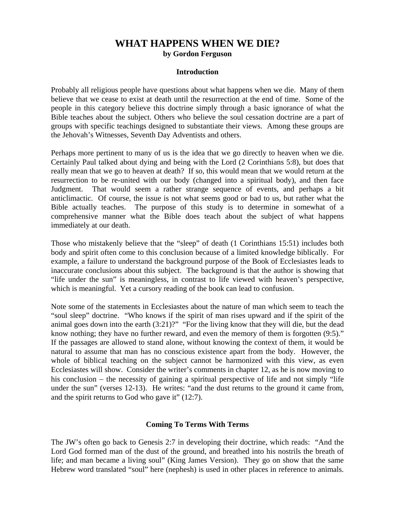# **WHAT HAPPENS WHEN WE DIE? by Gordon Ferguson**

### **Introduction**

Probably all religious people have questions about what happens when we die. Many of them believe that we cease to exist at death until the resurrection at the end of time. Some of the people in this category believe this doctrine simply through a basic ignorance of what the Bible teaches about the subject. Others who believe the soul cessation doctrine are a part of groups with specific teachings designed to substantiate their views. Among these groups are the Jehovah's Witnesses, Seventh Day Adventists and others.

Perhaps more pertinent to many of us is the idea that we go directly to heaven when we die. Certainly Paul talked about dying and being with the Lord (2 Corinthians 5:8), but does that really mean that we go to heaven at death? If so, this would mean that we would return at the resurrection to be re-united with our body (changed into a spiritual body), and then face Judgment. That would seem a rather strange sequence of events, and perhaps a bit anticlimactic. Of course, the issue is not what seems good or bad to us, but rather what the Bible actually teaches. The purpose of this study is to determine in somewhat of a comprehensive manner what the Bible does teach about the subject of what happens immediately at our death.

Those who mistakenly believe that the "sleep" of death (1 Corinthians 15:51) includes both body and spirit often come to this conclusion because of a limited knowledge biblically. For example, a failure to understand the background purpose of the Book of Ecclesiastes leads to inaccurate conclusions about this subject. The background is that the author is showing that "life under the sun" is meaningless, in contrast to life viewed with heaven's perspective, which is meaningful. Yet a cursory reading of the book can lead to confusion.

Note some of the statements in Ecclesiastes about the nature of man which seem to teach the "soul sleep" doctrine. "Who knows if the spirit of man rises upward and if the spirit of the animal goes down into the earth (3:21)?" "For the living know that they will die, but the dead know nothing; they have no further reward, and even the memory of them is forgotten (9:5)." If the passages are allowed to stand alone, without knowing the context of them, it would be natural to assume that man has no conscious existence apart from the body. However, the whole of biblical teaching on the subject cannot be harmonized with this view, as even Ecclesiastes will show. Consider the writer's comments in chapter 12, as he is now moving to his conclusion – the necessity of gaining a spiritual perspective of life and not simply "life" under the sun" (verses 12-13). He writes: "and the dust returns to the ground it came from, and the spirit returns to God who gave it" (12:7).

## **Coming To Terms With Terms**

The JW's often go back to Genesis 2:7 in developing their doctrine, which reads: "And the Lord God formed man of the dust of the ground, and breathed into his nostrils the breath of life; and man became a living soul" (King James Version). They go on show that the same Hebrew word translated "soul" here (nephesh) is used in other places in reference to animals.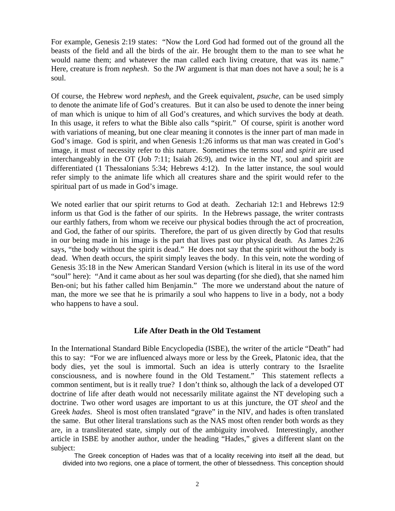For example, Genesis 2:19 states: "Now the Lord God had formed out of the ground all the beasts of the field and all the birds of the air. He brought them to the man to see what he would name them; and whatever the man called each living creature, that was its name." Here, creature is from *nephesh*. So the JW argument is that man does not have a soul; he is a soul.

Of course, the Hebrew word *nephesh*, and the Greek equivalent, *psuche*, can be used simply to denote the animate life of God's creatures. But it can also be used to denote the inner being of man which is unique to him of all God's creatures, and which survives the body at death. In this usage, it refers to what the Bible also calls "spirit." Of course, spirit is another word with variations of meaning, but one clear meaning it connotes is the inner part of man made in God's image. God is spirit, and when Genesis 1:26 informs us that man was created in God's image, it must of necessity refer to this nature. Sometimes the terms *soul* and *spirit* are used interchangeably in the OT (Job 7:11; Isaiah 26:9), and twice in the NT, soul and spirit are differentiated (1 Thessalonians 5:34; Hebrews 4:12). In the latter instance, the soul would refer simply to the animate life which all creatures share and the spirit would refer to the spiritual part of us made in God's image.

We noted earlier that our spirit returns to God at death. Zechariah 12:1 and Hebrews 12:9 inform us that God is the father of our spirits. In the Hebrews passage, the writer contrasts our earthly fathers, from whom we receive our physical bodies through the act of procreation, and God, the father of our spirits. Therefore, the part of us given directly by God that results in our being made in his image is the part that lives past our physical death. As James 2:26 says, "the body without the spirit is dead." He does not say that the spirit without the body is dead. When death occurs, the spirit simply leaves the body. In this vein, note the wording of Genesis 35:18 in the New American Standard Version (which is literal in its use of the word "soul" here): "And it came about as her soul was departing (for she died), that she named him Ben-oni; but his father called him Benjamin." The more we understand about the nature of man, the more we see that he is primarily a soul who happens to live in a body, not a body who happens to have a soul.

## **Life After Death in the Old Testament**

In the International Standard Bible Encyclopedia (ISBE), the writer of the article "Death" had this to say: "For we are influenced always more or less by the Greek, Platonic idea, that the body dies, yet the soul is immortal. Such an idea is utterly contrary to the Israelite consciousness, and is nowhere found in the Old Testament." This statement reflects a common sentiment, but is it really true? I don't think so, although the lack of a developed OT doctrine of life after death would not necessarily militate against the NT developing such a doctrine. Two other word usages are important to us at this juncture, the OT *sheol* and the Greek *hades*. Sheol is most often translated "grave" in the NIV, and hades is often translated the same. But other literal translations such as the NAS most often render both words as they are, in a transliterated state, simply out of the ambiguity involved. Interestingly, another article in ISBE by another author, under the heading "Hades," gives a different slant on the subject:

The Greek conception of Hades was that of a locality receiving into itself all the dead, but divided into two regions, one a place of torment, the other of blessedness. This conception should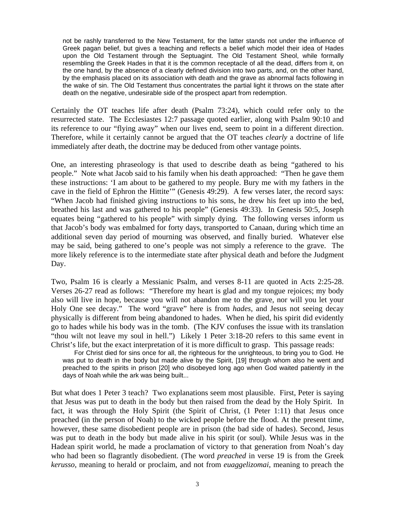not be rashly transferred to the New Testament, for the latter stands not under the influence of Greek pagan belief, but gives a teaching and reflects a belief which model their idea of Hades upon the Old Testament through the Septuagint. The Old Testament Sheol, while formally resembling the Greek Hades in that it is the common receptacle of all the dead, differs from it, on the one hand, by the absence of a clearly defined division into two parts, and, on the other hand, by the emphasis placed on its association with death and the grave as abnormal facts following in the wake of sin. The Old Testament thus concentrates the partial light it throws on the state after death on the negative, undesirable side of the prospect apart from redemption.

Certainly the OT teaches life after death (Psalm 73:24), which could refer only to the resurrected state. The Ecclesiastes 12:7 passage quoted earlier, along with Psalm 90:10 and its reference to our "flying away" when our lives end, seem to point in a different direction. Therefore, while it certainly cannot be argued that the OT teaches *clearly* a doctrine of life immediately after death, the doctrine may be deduced from other vantage points.

One, an interesting phraseology is that used to describe death as being "gathered to his people." Note what Jacob said to his family when his death approached: "Then he gave them these instructions: 'I am about to be gathered to my people. Bury me with my fathers in the cave in the field of Ephron the Hittite'" (Genesis 49:29). A few verses later, the record says: "When Jacob had finished giving instructions to his sons, he drew his feet up into the bed, breathed his last and was gathered to his people" (Genesis 49:33). In Genesis 50:5, Joseph equates being "gathered to his people" with simply dying. The following verses inform us that Jacob's body was embalmed for forty days, transported to Canaan, during which time an additional seven day period of mourning was observed, and finally buried. Whatever else may be said, being gathered to one's people was not simply a reference to the grave. The more likely reference is to the intermediate state after physical death and before the Judgment Day.

Two, Psalm 16 is clearly a Messianic Psalm, and verses 8-11 are quoted in Acts 2:25-28. Verses 26-27 read as follows: "Therefore my heart is glad and my tongue rejoices; my body also will live in hope, because you will not abandon me to the grave, nor will you let your Holy One see decay." The word "grave" here is from *hades*, and Jesus not seeing decay physically is different from being abandoned to hades. When he died, his spirit did evidently go to hades while his body was in the tomb. (The KJV confuses the issue with its translation "thou wilt not leave my soul in hell.") Likely 1 Peter 3:18-20 refers to this same event in Christ's life, but the exact interpretation of it is more difficult to grasp. This passage reads:

For Christ died for sins once for all, the righteous for the unrighteous, to bring you to God. He was put to death in the body but made alive by the Spirit, [19] through whom also he went and preached to the spirits in prison [20] who disobeyed long ago when God waited patiently in the days of Noah while the ark was being built...

But what does 1 Peter 3 teach? Two explanations seem most plausible. First, Peter is saying that Jesus was put to death in the body but then raised from the dead by the Holy Spirit. In fact, it was through the Holy Spirit (the Spirit of Christ, (1 Peter 1:11) that Jesus once preached (in the person of Noah) to the wicked people before the flood. At the present time, however, these same disobedient people are in prison (the bad side of hades). Second, Jesus was put to death in the body but made alive in his spirit (or soul). While Jesus was in the Hadean spirit world, he made a proclamation of victory to that generation from Noah's day who had been so flagrantly disobedient. (The word *preached* in verse 19 is from the Greek *kerusso*, meaning to herald or proclaim, and not from *euaggelizomai*, meaning to preach the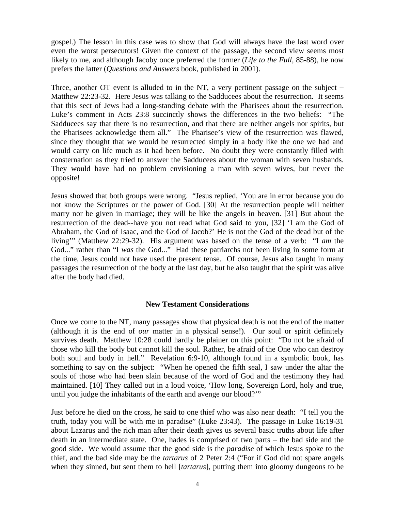gospel.) The lesson in this case was to show that God will always have the last word over even the worst persecutors! Given the context of the passage, the second view seems most likely to me, and although Jacoby once preferred the former (*Life to the Full*, 85-88), he now prefers the latter (*Questions and Answers* book, published in 2001).

Three, another OT event is alluded to in the NT, a very pertinent passage on the subject − Matthew 22:23-32. Here Jesus was talking to the Sadducees about the resurrection. It seems that this sect of Jews had a long-standing debate with the Pharisees about the resurrection. Luke's comment in Acts 23:8 succinctly shows the differences in the two beliefs: "The Sadducees say that there is no resurrection, and that there are neither angels nor spirits, but the Pharisees acknowledge them all." The Pharisee's view of the resurrection was flawed, since they thought that we would be resurrected simply in a body like the one we had and would carry on life much as it had been before. No doubt they were constantly filled with consternation as they tried to answer the Sadducees about the woman with seven husbands. They would have had no problem envisioning a man with seven wives, but never the opposite!

Jesus showed that both groups were wrong. "Jesus replied, 'You are in error because you do not know the Scriptures or the power of God. [30] At the resurrection people will neither marry nor be given in marriage; they will be like the angels in heaven. [31] But about the resurrection of the dead--have you not read what God said to you, [32] 'I am the God of Abraham, the God of Isaac, and the God of Jacob?' He is not the God of the dead but of the living'" (Matthew 22:29-32). His argument was based on the tense of a verb: "I *am* the God..." rather than "I *was* the God..." Had these patriarchs not been living in some form at the time, Jesus could not have used the present tense. Of course, Jesus also taught in many passages the resurrection of the body at the last day, but he also taught that the spirit was alive after the body had died.

## **New Testament Considerations**

Once we come to the NT, many passages show that physical death is not the end of the matter (although it is the end of *our* matter in a physical sense!). Our soul or spirit definitely survives death. Matthew 10:28 could hardly be plainer on this point: "Do not be afraid of those who kill the body but cannot kill the soul. Rather, be afraid of the One who can destroy both soul and body in hell." Revelation 6:9-10, although found in a symbolic book, has something to say on the subject: "When he opened the fifth seal, I saw under the altar the souls of those who had been slain because of the word of God and the testimony they had maintained. [10] They called out in a loud voice, 'How long, Sovereign Lord, holy and true, until you judge the inhabitants of the earth and avenge our blood?'"

Just before he died on the cross, he said to one thief who was also near death: "I tell you the truth, today you will be with me in paradise" (Luke 23:43). The passage in Luke 16:19-31 about Lazarus and the rich man after their death gives us several basic truths about life after death in an intermediate state. One, hades is comprised of two parts − the bad side and the good side. We would assume that the good side is the *paradise* of which Jesus spoke to the thief, and the bad side may be the *tartarus* of 2 Peter 2:4 ("For if God did not spare angels when they sinned, but sent them to hell [*tartarus*], putting them into gloomy dungeons to be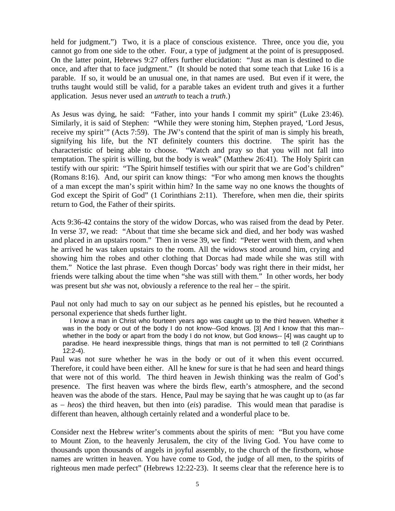held for judgment.") Two, it is a place of conscious existence. Three, once you die, you cannot go from one side to the other. Four, a type of judgment at the point of is presupposed. On the latter point, Hebrews 9:27 offers further elucidation: "Just as man is destined to die once, and after that to face judgment." (It should be noted that some teach that Luke 16 is a parable. If so, it would be an unusual one, in that names are used. But even if it were, the truths taught would still be valid, for a parable takes an evident truth and gives it a further application. Jesus never used an *untruth* to teach a *truth*.)

As Jesus was dying, he said: "Father, into your hands I commit my spirit" (Luke 23:46). Similarly, it is said of Stephen: "While they were stoning him, Stephen prayed, 'Lord Jesus, receive my spirit'" (Acts 7:59). The JW's contend that the spirit of man is simply his breath, signifying his life, but the NT definitely counters this doctrine. The spirit has the characteristic of being able to choose. "Watch and pray so that you will not fall into temptation. The spirit is willing, but the body is weak" (Matthew 26:41). The Holy Spirit can testify with our spirit: "The Spirit himself testifies with our spirit that we are God's children" (Romans 8:16). And, our spirit can know things: "For who among men knows the thoughts of a man except the man's spirit within him? In the same way no one knows the thoughts of God except the Spirit of God" (1 Corinthians 2:11). Therefore, when men die, their spirits return to God, the Father of their spirits.

Acts 9:36-42 contains the story of the widow Dorcas, who was raised from the dead by Peter. In verse 37, we read: "About that time she became sick and died, and her body was washed and placed in an upstairs room." Then in verse 39, we find: "Peter went with them, and when he arrived he was taken upstairs to the room. All the widows stood around him, crying and showing him the robes and other clothing that Dorcas had made while she was still with them." Notice the last phrase. Even though Dorcas' body was right there in their midst, her friends were talking about the time when "she was still with them." In other words, her body was present but *she* was not, obviously a reference to the real her – the spirit.

Paul not only had much to say on our subject as he penned his epistles, but he recounted a personal experience that sheds further light.

 I know a man in Christ who fourteen years ago was caught up to the third heaven. Whether it was in the body or out of the body I do not know--God knows. [3] And I know that this man- whether in the body or apart from the body I do not know, but God knows-- [4] was caught up to paradise. He heard inexpressible things, things that man is not permitted to tell (2 Corinthians 12:2-4).

Paul was not sure whether he was in the body or out of it when this event occurred. Therefore, it could have been either. All he knew for sure is that he had seen and heard things that were not of this world. The third heaven in Jewish thinking was the realm of God's presence. The first heaven was where the birds flew, earth's atmosphere, and the second heaven was the abode of the stars. Hence, Paul may be saying that he was caught up to (as far as − *heos*) the third heaven, but then into (*eis*) paradise. This would mean that paradise is different than heaven, although certainly related and a wonderful place to be.

Consider next the Hebrew writer's comments about the spirits of men: "But you have come to Mount Zion, to the heavenly Jerusalem, the city of the living God. You have come to thousands upon thousands of angels in joyful assembly, to the church of the firstborn, whose names are written in heaven. You have come to God, the judge of all men, to the spirits of righteous men made perfect" (Hebrews 12:22-23). It seems clear that the reference here is to